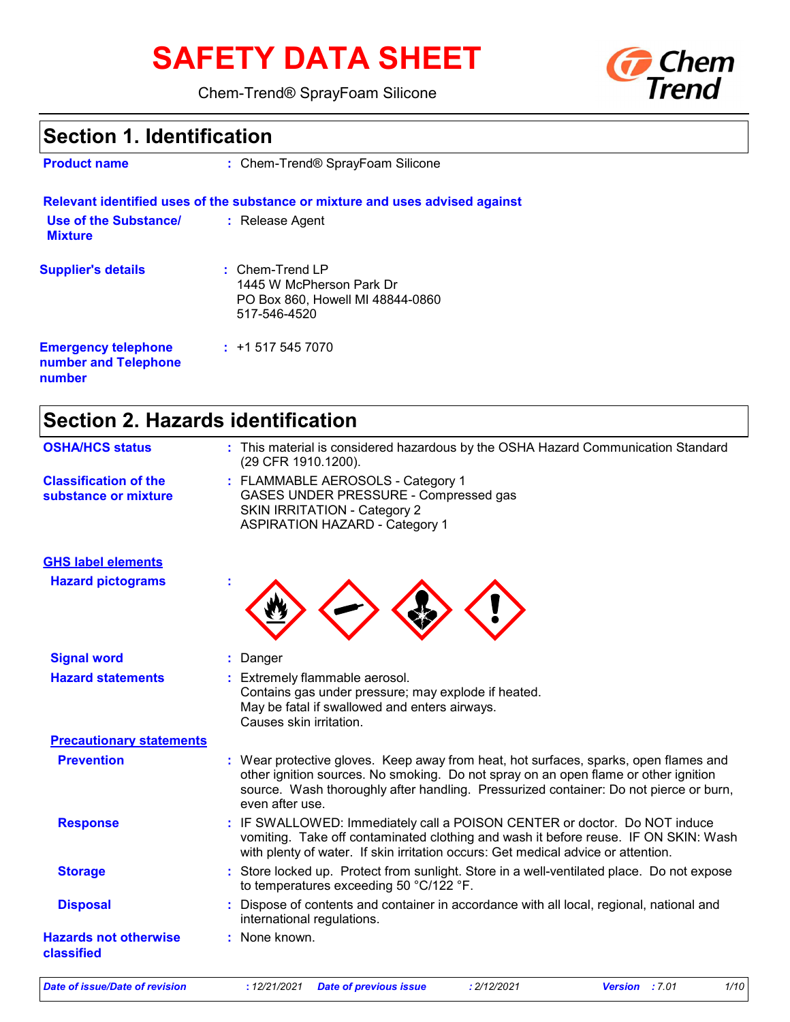# **SAFETY DATA SHEET**

Chem-Trend® SprayFoam Silicone



# **Section 1. Identification**

| <b>Product name</b>                     | : Chem-Trend® SprayFoam Silicone                                                                  |  |
|-----------------------------------------|---------------------------------------------------------------------------------------------------|--|
|                                         | Relevant identified uses of the substance or mixture and uses advised against                     |  |
| Use of the Substance/<br><b>Mixture</b> | : Release Agent                                                                                   |  |
| <b>Supplier's details</b>               | $:$ Chem-Trend LP<br>1445 W McPherson Park Dr<br>PO Box 860, Howell MI 48844-0860<br>517-546-4520 |  |

+1 517 545 7070 **: Emergency telephone number and Telephone number**

| <b>Section 2. Hazards identification</b>             |                                                                                                                                                                                                                                                                                         |
|------------------------------------------------------|-----------------------------------------------------------------------------------------------------------------------------------------------------------------------------------------------------------------------------------------------------------------------------------------|
| <b>OSHA/HCS status</b>                               | : This material is considered hazardous by the OSHA Hazard Communication Standard<br>(29 CFR 1910.1200).                                                                                                                                                                                |
| <b>Classification of the</b><br>substance or mixture | : FLAMMABLE AEROSOLS - Category 1<br>GASES UNDER PRESSURE - Compressed gas<br><b>SKIN IRRITATION - Category 2</b><br><b>ASPIRATION HAZARD - Category 1</b>                                                                                                                              |
| <b>GHS label elements</b>                            |                                                                                                                                                                                                                                                                                         |
| <b>Hazard pictograms</b>                             |                                                                                                                                                                                                                                                                                         |
| <b>Signal word</b>                                   | : Danger                                                                                                                                                                                                                                                                                |
| <b>Hazard statements</b>                             | : Extremely flammable aerosol.<br>Contains gas under pressure; may explode if heated.<br>May be fatal if swallowed and enters airways.<br>Causes skin irritation.                                                                                                                       |
| <b>Precautionary statements</b>                      |                                                                                                                                                                                                                                                                                         |
| <b>Prevention</b>                                    | : Wear protective gloves. Keep away from heat, hot surfaces, sparks, open flames and<br>other ignition sources. No smoking. Do not spray on an open flame or other ignition<br>source. Wash thoroughly after handling. Pressurized container: Do not pierce or burn,<br>even after use. |
| <b>Response</b>                                      | : IF SWALLOWED: Immediately call a POISON CENTER or doctor. Do NOT induce<br>vomiting. Take off contaminated clothing and wash it before reuse. IF ON SKIN: Wash<br>with plenty of water. If skin irritation occurs: Get medical advice or attention.                                   |
| <b>Storage</b>                                       | : Store locked up. Protect from sunlight. Store in a well-ventilated place. Do not expose<br>to temperatures exceeding 50 °C/122 °F.                                                                                                                                                    |
| <b>Disposal</b>                                      | Dispose of contents and container in accordance with all local, regional, national and<br>international regulations.                                                                                                                                                                    |
| <b>Hazards not otherwise</b><br>classified           | : None known.                                                                                                                                                                                                                                                                           |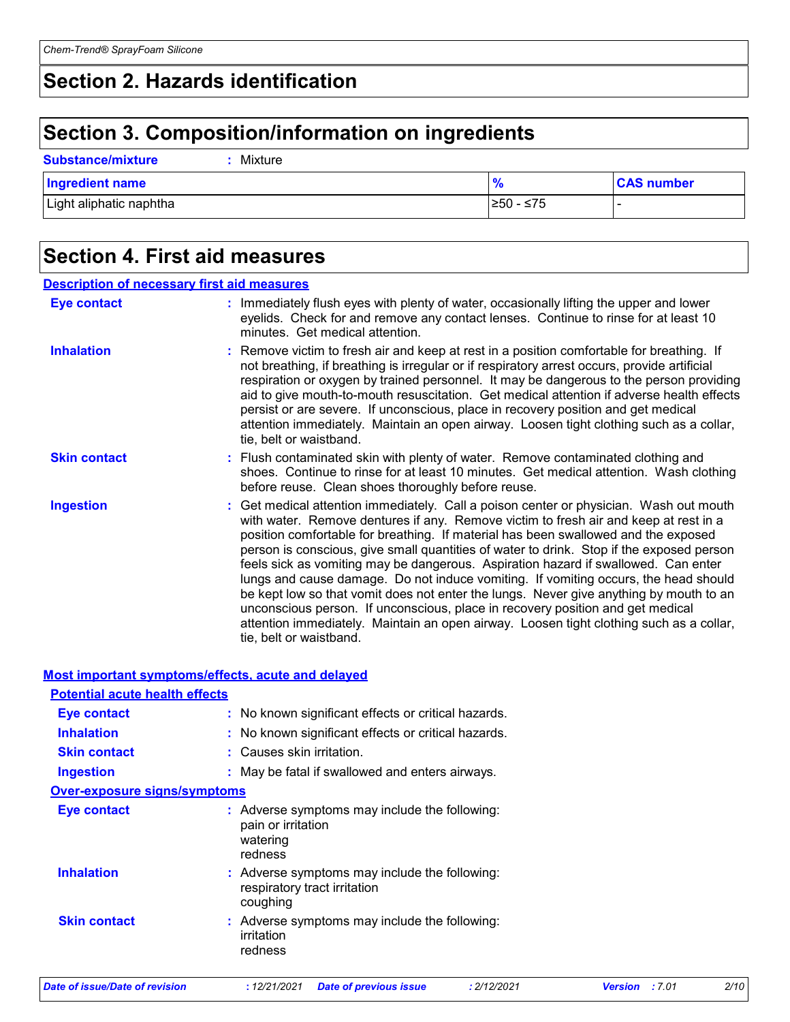# **Section 2. Hazards identification**

# **Section 3. Composition/information on ingredients**

**Substance/mixture :** Mixture

| <b>Ingredient name</b>  | $\prime$   | <b>CAS number</b> |
|-------------------------|------------|-------------------|
| Light aliphatic naphtha | l≥50 - ≤75 |                   |

# **Section 4. First aid measures**

### Get medical attention immediately. Call a poison center or physician. Wash out mouth with water. Remove dentures if any. Remove victim to fresh air and keep at rest in a position comfortable for breathing. If material has been swallowed and the exposed person is conscious, give small quantities of water to drink. Stop if the exposed person feels sick as vomiting may be dangerous. Aspiration hazard if swallowed. Can enter lungs and cause damage. Do not induce vomiting. If vomiting occurs, the head should be kept low so that vomit does not enter the lungs. Never give anything by mouth to an unconscious person. If unconscious, place in recovery position and get medical attention immediately. Maintain an open airway. Loosen tight clothing such as a collar, tie, belt or waistband. **:** Immediately flush eyes with plenty of water, occasionally lifting the upper and lower eyelids. Check for and remove any contact lenses. Continue to rinse for at least 10 minutes. Get medical attention. Flush contaminated skin with plenty of water. Remove contaminated clothing and **:** shoes. Continue to rinse for at least 10 minutes. Get medical attention. Wash clothing before reuse. Clean shoes thoroughly before reuse. Remove victim to fresh air and keep at rest in a position comfortable for breathing. If **:** not breathing, if breathing is irregular or if respiratory arrest occurs, provide artificial respiration or oxygen by trained personnel. It may be dangerous to the person providing aid to give mouth-to-mouth resuscitation. Get medical attention if adverse health effects persist or are severe. If unconscious, place in recovery position and get medical attention immediately. Maintain an open airway. Loosen tight clothing such as a collar, tie, belt or waistband. **Eye contact Skin contact Inhalation Ingestion : Description of necessary first aid measures**

### **Most important symptoms/effects, acute and delayed**

| <b>Potential acute health effects</b> |                                                                                            |
|---------------------------------------|--------------------------------------------------------------------------------------------|
| Eye contact                           | : No known significant effects or critical hazards.                                        |
| <b>Inhalation</b>                     | No known significant effects or critical hazards.                                          |
| <b>Skin contact</b>                   | : Causes skin irritation.                                                                  |
| <b>Ingestion</b>                      | : May be fatal if swallowed and enters airways.                                            |
| <b>Over-exposure signs/symptoms</b>   |                                                                                            |
| Eye contact                           | : Adverse symptoms may include the following:<br>pain or irritation<br>watering<br>redness |
| <b>Inhalation</b>                     | : Adverse symptoms may include the following:<br>respiratory tract irritation<br>coughing  |
| <b>Skin contact</b>                   | : Adverse symptoms may include the following:<br>irritation<br>redness                     |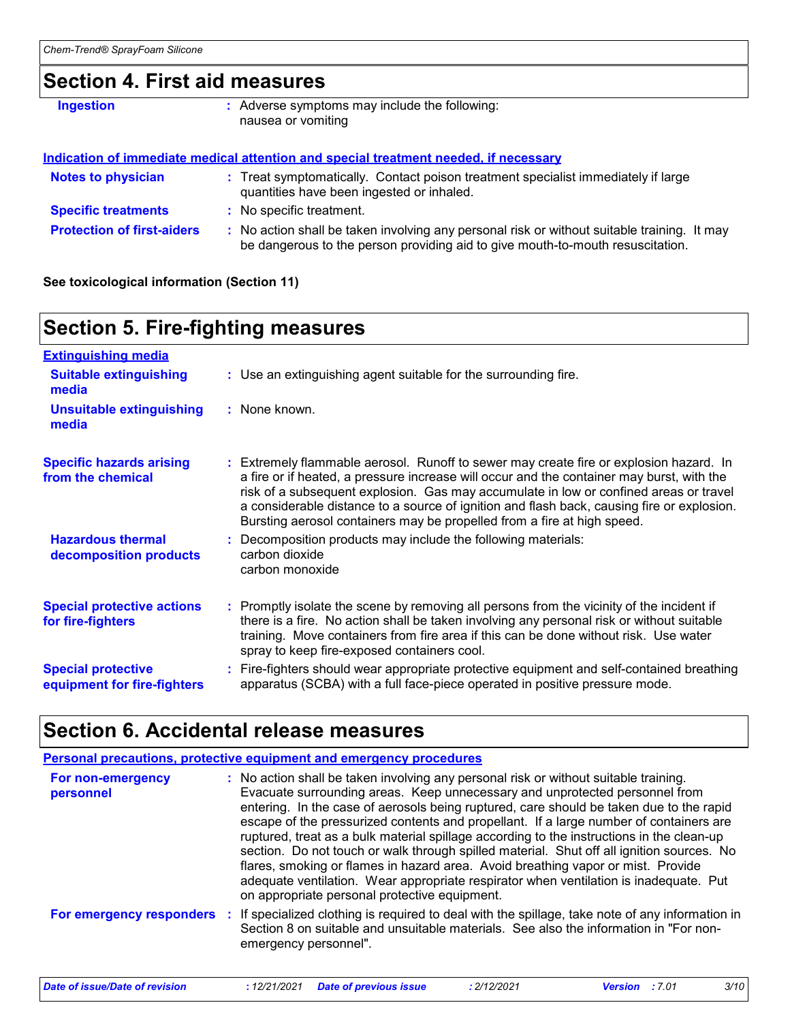# **Section 4. First aid measures**

**Ingestion Conservent in the symptoms may include the following:** nausea or vomiting

### **Indication of immediate medical attention and special treatment needed, if necessary**

| <b>Notes to physician</b>         | : Treat symptomatically. Contact poison treatment specialist immediately if large<br>quantities have been ingested or inhaled.                                                |
|-----------------------------------|-------------------------------------------------------------------------------------------------------------------------------------------------------------------------------|
| <b>Specific treatments</b>        | : No specific treatment.                                                                                                                                                      |
| <b>Protection of first-aiders</b> | : No action shall be taken involving any personal risk or without suitable training. It may<br>be dangerous to the person providing aid to give mouth-to-mouth resuscitation. |

**See toxicological information (Section 11)**

# **Section 5. Fire-fighting measures**

| <b>Extinguishing media</b>                               |                                                                                                                                                                                                                                                                                                                                                                                                                                                       |
|----------------------------------------------------------|-------------------------------------------------------------------------------------------------------------------------------------------------------------------------------------------------------------------------------------------------------------------------------------------------------------------------------------------------------------------------------------------------------------------------------------------------------|
| <b>Suitable extinguishing</b><br>media                   | : Use an extinguishing agent suitable for the surrounding fire.                                                                                                                                                                                                                                                                                                                                                                                       |
| <b>Unsuitable extinguishing</b><br>media                 | : None known.                                                                                                                                                                                                                                                                                                                                                                                                                                         |
| <b>Specific hazards arising</b><br>from the chemical     | : Extremely flammable aerosol. Runoff to sewer may create fire or explosion hazard. In<br>a fire or if heated, a pressure increase will occur and the container may burst, with the<br>risk of a subsequent explosion. Gas may accumulate in low or confined areas or travel<br>a considerable distance to a source of ignition and flash back, causing fire or explosion.<br>Bursting aerosol containers may be propelled from a fire at high speed. |
| <b>Hazardous thermal</b><br>decomposition products       | : Decomposition products may include the following materials:<br>carbon dioxide<br>carbon monoxide                                                                                                                                                                                                                                                                                                                                                    |
| <b>Special protective actions</b><br>for fire-fighters   | : Promptly isolate the scene by removing all persons from the vicinity of the incident if<br>there is a fire. No action shall be taken involving any personal risk or without suitable<br>training. Move containers from fire area if this can be done without risk. Use water<br>spray to keep fire-exposed containers cool.                                                                                                                         |
| <b>Special protective</b><br>equipment for fire-fighters | Fire-fighters should wear appropriate protective equipment and self-contained breathing<br>apparatus (SCBA) with a full face-piece operated in positive pressure mode.                                                                                                                                                                                                                                                                                |

# **Section 6. Accidental release measures**

|                                | <b>Personal precautions, protective equipment and emergency procedures</b>                                                                                                                                                                                                                                                                                                                                                                                                                                                                                                                                                                                                                                                                                                       |
|--------------------------------|----------------------------------------------------------------------------------------------------------------------------------------------------------------------------------------------------------------------------------------------------------------------------------------------------------------------------------------------------------------------------------------------------------------------------------------------------------------------------------------------------------------------------------------------------------------------------------------------------------------------------------------------------------------------------------------------------------------------------------------------------------------------------------|
| For non-emergency<br>personnel | : No action shall be taken involving any personal risk or without suitable training.<br>Evacuate surrounding areas. Keep unnecessary and unprotected personnel from<br>entering. In the case of aerosols being ruptured, care should be taken due to the rapid<br>escape of the pressurized contents and propellant. If a large number of containers are<br>ruptured, treat as a bulk material spillage according to the instructions in the clean-up<br>section. Do not touch or walk through spilled material. Shut off all ignition sources. No<br>flares, smoking or flames in hazard area. Avoid breathing vapor or mist. Provide<br>adequate ventilation. Wear appropriate respirator when ventilation is inadequate. Put<br>on appropriate personal protective equipment. |
|                                | For emergency responders : If specialized clothing is required to deal with the spillage, take note of any information in<br>Section 8 on suitable and unsuitable materials. See also the information in "For non-<br>emergency personnel".                                                                                                                                                                                                                                                                                                                                                                                                                                                                                                                                      |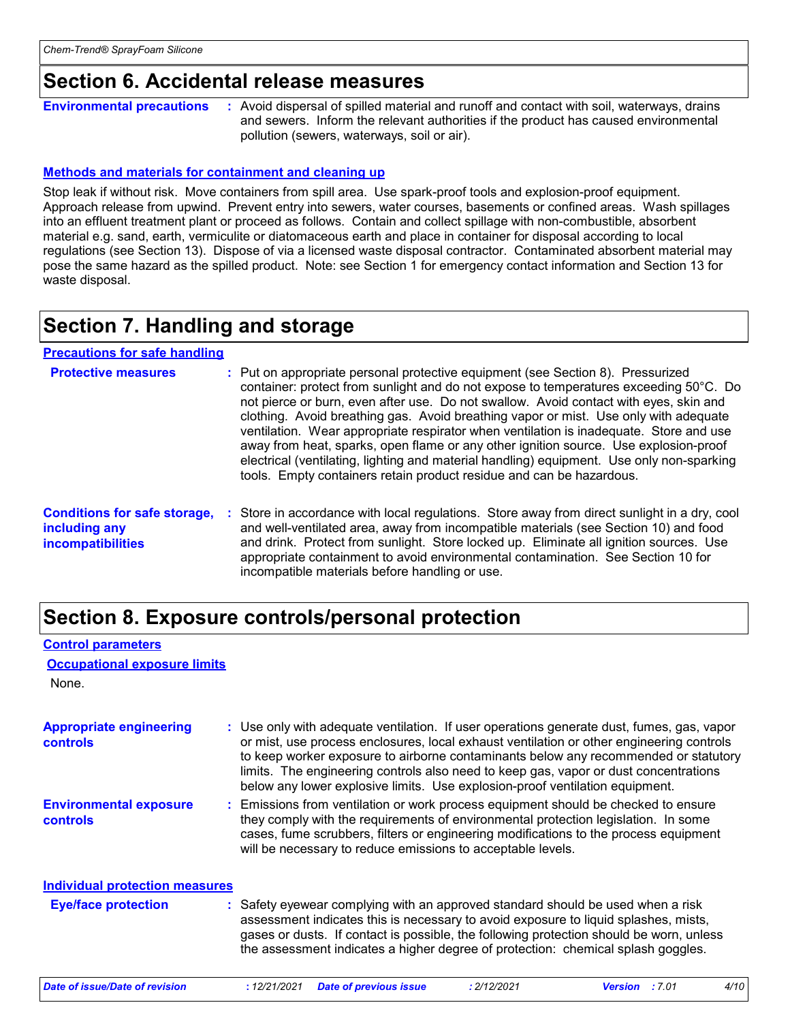# **Section 6. Accidental release measures**

**Environmental precautions**

**:** Avoid dispersal of spilled material and runoff and contact with soil, waterways, drains and sewers. Inform the relevant authorities if the product has caused environmental pollution (sewers, waterways, soil or air).

### **Methods and materials for containment and cleaning up**

Stop leak if without risk. Move containers from spill area. Use spark-proof tools and explosion-proof equipment. Approach release from upwind. Prevent entry into sewers, water courses, basements or confined areas. Wash spillages into an effluent treatment plant or proceed as follows. Contain and collect spillage with non-combustible, absorbent material e.g. sand, earth, vermiculite or diatomaceous earth and place in container for disposal according to local regulations (see Section 13). Dispose of via a licensed waste disposal contractor. Contaminated absorbent material may pose the same hazard as the spilled product. Note: see Section 1 for emergency contact information and Section 13 for waste disposal.

# **Section 7. Handling and storage**

**Precautions for safe handling**

| <b>Protective measures</b>                                                       | : Put on appropriate personal protective equipment (see Section 8). Pressurized<br>container: protect from sunlight and do not expose to temperatures exceeding 50°C. Do<br>not pierce or burn, even after use. Do not swallow. Avoid contact with eyes, skin and<br>clothing. Avoid breathing gas. Avoid breathing vapor or mist. Use only with adequate<br>ventilation. Wear appropriate respirator when ventilation is inadequate. Store and use<br>away from heat, sparks, open flame or any other ignition source. Use explosion-proof<br>electrical (ventilating, lighting and material handling) equipment. Use only non-sparking<br>tools. Empty containers retain product residue and can be hazardous. |
|----------------------------------------------------------------------------------|------------------------------------------------------------------------------------------------------------------------------------------------------------------------------------------------------------------------------------------------------------------------------------------------------------------------------------------------------------------------------------------------------------------------------------------------------------------------------------------------------------------------------------------------------------------------------------------------------------------------------------------------------------------------------------------------------------------|
| <b>Conditions for safe storage,</b><br>including any<br><b>incompatibilities</b> | Store in accordance with local regulations. Store away from direct sunlight in a dry, cool<br>and well-ventilated area, away from incompatible materials (see Section 10) and food<br>and drink. Protect from sunlight. Store locked up. Eliminate all ignition sources. Use<br>appropriate containment to avoid environmental contamination. See Section 10 for<br>incompatible materials before handling or use.                                                                                                                                                                                                                                                                                               |

# **Section 8. Exposure controls/personal protection**

### **Control parameters**

### **Occupational exposure limits**

None.

| <b>Appropriate engineering</b><br>controls       | : Use only with adequate ventilation. If user operations generate dust, fumes, gas, vapor<br>or mist, use process enclosures, local exhaust ventilation or other engineering controls<br>to keep worker exposure to airborne contaminants below any recommended or statutory<br>limits. The engineering controls also need to keep gas, vapor or dust concentrations<br>below any lower explosive limits. Use explosion-proof ventilation equipment. |  |
|--------------------------------------------------|------------------------------------------------------------------------------------------------------------------------------------------------------------------------------------------------------------------------------------------------------------------------------------------------------------------------------------------------------------------------------------------------------------------------------------------------------|--|
| <b>Environmental exposure</b><br><b>controls</b> | Emissions from ventilation or work process equipment should be checked to ensure<br>they comply with the requirements of environmental protection legislation. In some<br>cases, fume scrubbers, filters or engineering modifications to the process equipment<br>will be necessary to reduce emissions to acceptable levels.                                                                                                                        |  |
| <b>Individual protection measures</b>            |                                                                                                                                                                                                                                                                                                                                                                                                                                                      |  |
| <b>Eye/face protection</b>                       | : Safety eyewear complying with an approved standard should be used when a risk<br>assessment indicates this is necessary to avoid exposure to liquid splashes, mists,<br>gases or dusts. If contact is possible, the following protection should be worn, unless<br>the assessment indicates a higher degree of protection: chemical splash goggles.                                                                                                |  |
| Date of issue/Date of revision                   | : 12/21/2021<br><b>Date of previous issue</b><br>: 2/12/2021<br>Version : 7.01<br>4/10                                                                                                                                                                                                                                                                                                                                                               |  |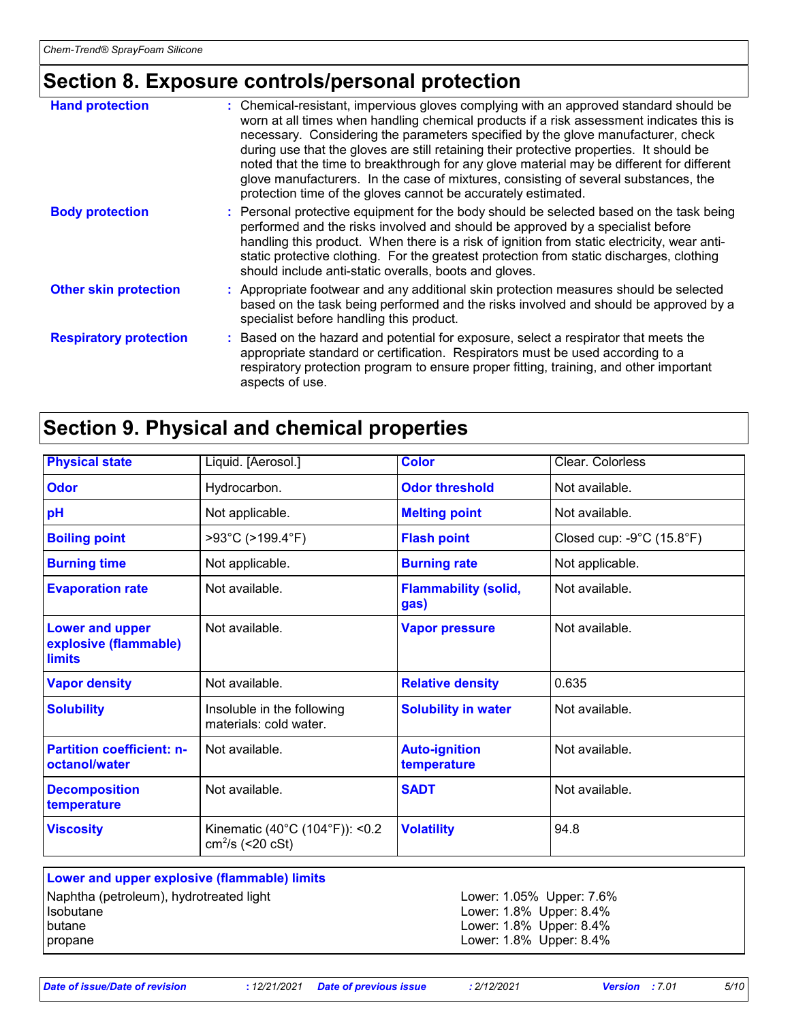# **Section 8. Exposure controls/personal protection**

| <b>Hand protection</b>        | : Chemical-resistant, impervious gloves complying with an approved standard should be<br>worn at all times when handling chemical products if a risk assessment indicates this is<br>necessary. Considering the parameters specified by the glove manufacturer, check<br>during use that the gloves are still retaining their protective properties. It should be<br>noted that the time to breakthrough for any glove material may be different for different<br>glove manufacturers. In the case of mixtures, consisting of several substances, the<br>protection time of the gloves cannot be accurately estimated. |
|-------------------------------|------------------------------------------------------------------------------------------------------------------------------------------------------------------------------------------------------------------------------------------------------------------------------------------------------------------------------------------------------------------------------------------------------------------------------------------------------------------------------------------------------------------------------------------------------------------------------------------------------------------------|
| <b>Body protection</b>        | : Personal protective equipment for the body should be selected based on the task being<br>performed and the risks involved and should be approved by a specialist before<br>handling this product. When there is a risk of ignition from static electricity, wear anti-<br>static protective clothing. For the greatest protection from static discharges, clothing<br>should include anti-static overalls, boots and gloves.                                                                                                                                                                                         |
| <b>Other skin protection</b>  | : Appropriate footwear and any additional skin protection measures should be selected<br>based on the task being performed and the risks involved and should be approved by a<br>specialist before handling this product.                                                                                                                                                                                                                                                                                                                                                                                              |
| <b>Respiratory protection</b> | : Based on the hazard and potential for exposure, select a respirator that meets the<br>appropriate standard or certification. Respirators must be used according to a<br>respiratory protection program to ensure proper fitting, training, and other important<br>aspects of use.                                                                                                                                                                                                                                                                                                                                    |

# **Section 9. Physical and chemical properties**

| <b>Physical state</b>                                            | Liquid. [Aerosol.]                                   | <b>Color</b>                        | Clear. Colorless                               |
|------------------------------------------------------------------|------------------------------------------------------|-------------------------------------|------------------------------------------------|
| <b>Odor</b>                                                      | Hydrocarbon.                                         | <b>Odor threshold</b>               | Not available.                                 |
| pH                                                               | Not applicable.                                      | <b>Melting point</b>                | Not available.                                 |
| <b>Boiling point</b>                                             | >93°C (>199.4°F)                                     | <b>Flash point</b>                  | Closed cup: $-9^{\circ}$ C (15.8 $^{\circ}$ F) |
| <b>Burning time</b>                                              | Not applicable.                                      | <b>Burning rate</b>                 | Not applicable.                                |
| <b>Evaporation rate</b>                                          | Not available.                                       | <b>Flammability (solid,</b><br>gas) | Not available.                                 |
| <b>Lower and upper</b><br>explosive (flammable)<br><b>limits</b> | Not available.                                       | <b>Vapor pressure</b>               | Not available.                                 |
| <b>Vapor density</b>                                             | Not available.                                       | <b>Relative density</b>             | 0.635                                          |
| <b>Solubility</b>                                                | Insoluble in the following<br>materials: cold water. | <b>Solubility in water</b>          | Not available.                                 |
| <b>Partition coefficient: n-</b><br>octanol/water                | Not available.                                       | <b>Auto-ignition</b><br>temperature | Not available.                                 |
| <b>Decomposition</b><br>temperature                              | Not available.                                       | <b>SADT</b>                         | Not available.                                 |
| <b>Viscosity</b>                                                 | Kinematic (40°C (104°F)): <0.2<br>$cm^2/s$ (<20 cSt) | <b>Volatility</b>                   | 94.8                                           |

| Lower and upper explosive (flammable) limits |
|----------------------------------------------|
| Naphtha (petroleum), hydrotreated light      |
| <b>Isobutane</b>                             |
| butane                                       |
| propane                                      |

Lower: 1.05% Upper: 7.6% Lower: 1.8% Upper: 8.4% Lower:  $1.8\%$  Upper:  $8.4\%$ Lower: 1.8% Upper: 8.4%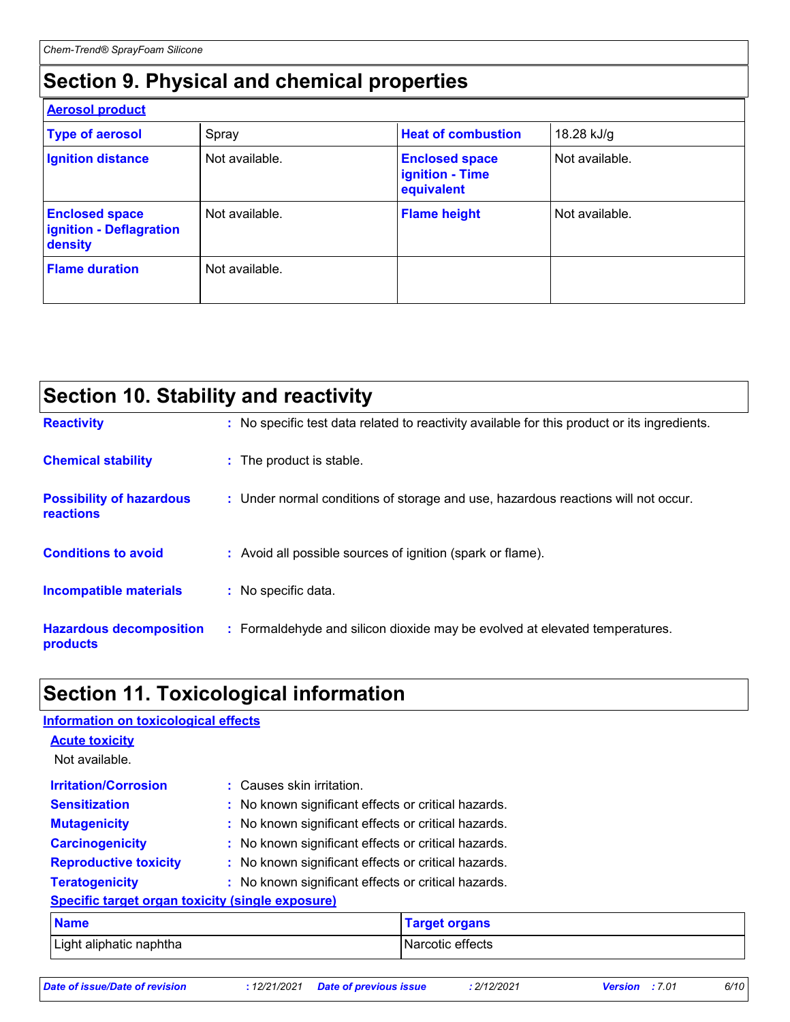# **Section 9. Physical and chemical properties**

| <b>Aerosol product</b>                                      |                |                                                               |                |  |
|-------------------------------------------------------------|----------------|---------------------------------------------------------------|----------------|--|
| <b>Type of aerosol</b>                                      | Spray          | <b>Heat of combustion</b>                                     | 18.28 kJ/g     |  |
| <b>Ignition distance</b>                                    | Not available. | <b>Enclosed space</b><br><b>ignition - Time</b><br>equivalent | Not available. |  |
| <b>Enclosed space</b><br>ignition - Deflagration<br>density | Not available. | <b>Flame height</b>                                           | Not available. |  |
| <b>Flame duration</b>                                       | Not available. |                                                               |                |  |

| <b>Section 10. Stability and reactivity</b>  |  |                                                                                              |  |  |
|----------------------------------------------|--|----------------------------------------------------------------------------------------------|--|--|
| <b>Reactivity</b>                            |  | : No specific test data related to reactivity available for this product or its ingredients. |  |  |
| <b>Chemical stability</b>                    |  | : The product is stable.                                                                     |  |  |
| <b>Possibility of hazardous</b><br>reactions |  | : Under normal conditions of storage and use, hazardous reactions will not occur.            |  |  |
| <b>Conditions to avoid</b>                   |  | : Avoid all possible sources of ignition (spark or flame).                                   |  |  |
| <b>Incompatible materials</b>                |  | : No specific data.                                                                          |  |  |
| <b>Hazardous decomposition</b><br>products   |  | : Formaldehyde and silicon dioxide may be evolved at elevated temperatures.                  |  |  |

# **Section 11. Toxicological information**

| <b>Information on toxicological effects</b>      |                                                     |                      |  |
|--------------------------------------------------|-----------------------------------------------------|----------------------|--|
| <b>Acute toxicity</b>                            |                                                     |                      |  |
| Not available.                                   |                                                     |                      |  |
| <b>Irritation/Corrosion</b>                      | : Causes skin irritation.                           |                      |  |
| <b>Sensitization</b>                             | : No known significant effects or critical hazards. |                      |  |
| <b>Mutagenicity</b>                              | : No known significant effects or critical hazards. |                      |  |
| <b>Carcinogenicity</b>                           | : No known significant effects or critical hazards. |                      |  |
| <b>Reproductive toxicity</b>                     | : No known significant effects or critical hazards. |                      |  |
| <b>Teratogenicity</b>                            | : No known significant effects or critical hazards. |                      |  |
| Specific target organ toxicity (single exposure) |                                                     |                      |  |
| <b>Name</b>                                      |                                                     | <b>Target organs</b> |  |
| Light aliphatic naphtha                          |                                                     | Narcotic effects     |  |

| Date of issue/Date of revision |  |  |
|--------------------------------|--|--|
|                                |  |  |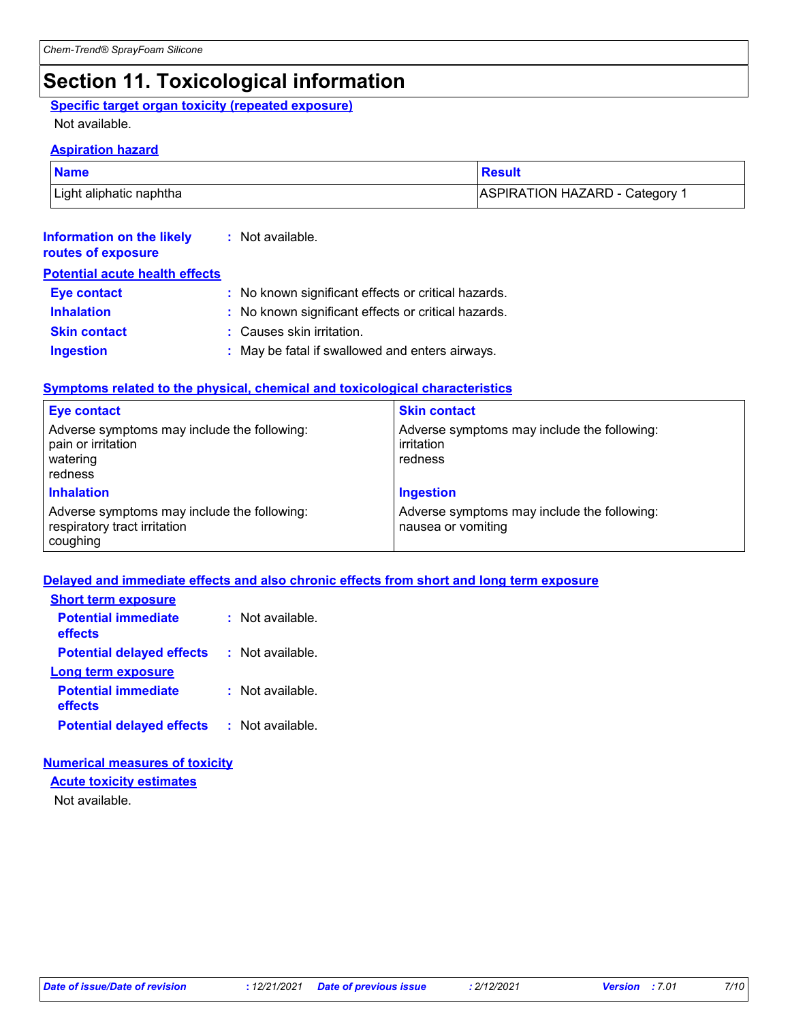# **Section 11. Toxicological information**

### **Specific target organ toxicity (repeated exposure)**

### Not available.

### **Aspiration hazard**

| <b>Name</b>             | ∣ Result                       |
|-------------------------|--------------------------------|
| Light aliphatic naphtha | ASPIRATION HAZARD - Category 1 |

| Information on the likely<br>routes of exposure | : Not available.                                    |
|-------------------------------------------------|-----------------------------------------------------|
| <b>Potential acute health effects</b>           |                                                     |
| Eye contact                                     | : No known significant effects or critical hazards. |

| <b>Inhalation</b>   | : No known significant effects or critical hazards. |
|---------------------|-----------------------------------------------------|
| <b>Skin contact</b> | : Causes skin irritation.                           |

### **Ingestion :** May be fatal if swallowed and enters airways.

### **Symptoms related to the physical, chemical and toxicological characteristics**

| <b>Eye contact</b>                                                                       | <b>Skin contact</b>                                                  |
|------------------------------------------------------------------------------------------|----------------------------------------------------------------------|
| Adverse symptoms may include the following:<br>pain or irritation<br>watering<br>redness | Adverse symptoms may include the following:<br>irritation<br>redness |
| <b>Inhalation</b>                                                                        | <b>Ingestion</b>                                                     |
| Adverse symptoms may include the following:<br>respiratory tract irritation<br>coughing  | Adverse symptoms may include the following:<br>nausea or vomiting    |

### **Delayed and immediate effects and also chronic effects from short and long term exposure**

| <b>Short term exposure</b>            |                  |
|---------------------------------------|------------------|
| <b>Potential immediate</b><br>effects | : Not available. |
| <b>Potential delayed effects</b>      | : Not available. |
| Long term exposure                    |                  |
| <b>Potential immediate</b><br>effects | : Not available. |
| <b>Potential delayed effects</b>      | : Not available. |

### **Numerical measures of toxicity**

**Acute toxicity estimates**

Not available.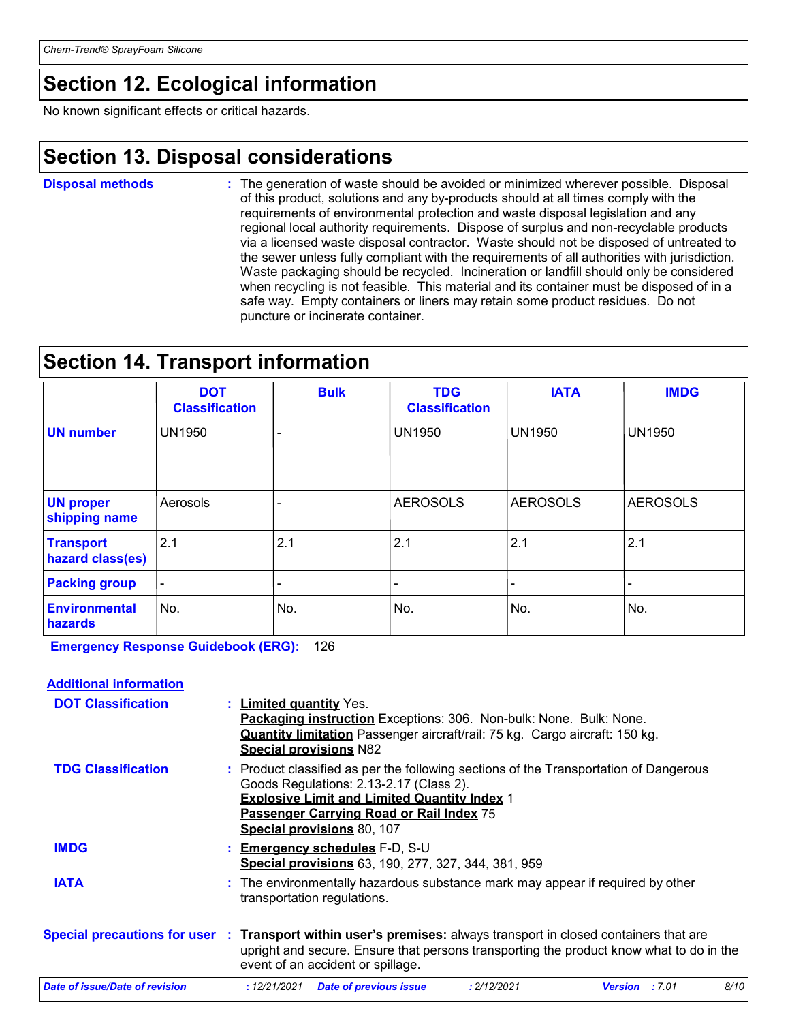# **Section 12. Ecological information**

No known significant effects or critical hazards.

# **Section 13. Disposal considerations**

The generation of waste should be avoided or minimized wherever possible. Disposal of this product, solutions and any by-products should at all times comply with the requirements of environmental protection and waste disposal legislation and any regional local authority requirements. Dispose of surplus and non-recyclable products via a licensed waste disposal contractor. Waste should not be disposed of untreated to the sewer unless fully compliant with the requirements of all authorities with jurisdiction. Waste packaging should be recycled. Incineration or landfill should only be considered when recycling is not feasible. This material and its container must be disposed of in a safe way. Empty containers or liners may retain some product residues. Do not puncture or incinerate container. **Disposal methods :**

# **Section 14. Transport information**

|                                      | <b>DOT</b><br><b>Classification</b> | <b>Bulk</b> | <b>TDG</b><br><b>Classification</b> | <b>IATA</b>              | <b>IMDG</b>     |
|--------------------------------------|-------------------------------------|-------------|-------------------------------------|--------------------------|-----------------|
| <b>UN number</b>                     | <b>UN1950</b>                       |             | <b>UN1950</b>                       | <b>UN1950</b>            | <b>UN1950</b>   |
| <b>UN proper</b><br>shipping name    | Aerosols                            |             | <b>AEROSOLS</b>                     | <b>AEROSOLS</b>          | <b>AEROSOLS</b> |
| <b>Transport</b><br>hazard class(es) | 2.1                                 | 2.1         | 2.1                                 | 2.1                      | 2.1             |
| <b>Packing group</b>                 | $\overline{\phantom{a}}$            |             | -                                   | $\overline{\phantom{0}}$ |                 |
| <b>Environmental</b><br>hazards      | No.                                 | No.         | No.                                 | No.                      | No.             |

**Emergency Response Guidebook (ERG):** 126

| <b>Additional information</b>  |                                                                                                                                                                                                                                                                          |                       |      |
|--------------------------------|--------------------------------------------------------------------------------------------------------------------------------------------------------------------------------------------------------------------------------------------------------------------------|-----------------------|------|
| <b>DOT Classification</b>      | : Limited quantity Yes.<br>Packaging instruction Exceptions: 306. Non-bulk: None. Bulk: None.<br>Quantity limitation Passenger aircraft/rail: 75 kg. Cargo aircraft: 150 kg.<br><b>Special provisions N82</b>                                                            |                       |      |
| <b>TDG Classification</b>      | : Product classified as per the following sections of the Transportation of Dangerous<br>Goods Regulations: 2.13-2.17 (Class 2).<br><b>Explosive Limit and Limited Quantity Index 1</b><br>Passenger Carrying Road or Rail Index 75<br><b>Special provisions 80, 107</b> |                       |      |
| <b>IMDG</b>                    | : Emergency schedules F-D, S-U<br>Special provisions 63, 190, 277, 327, 344, 381, 959                                                                                                                                                                                    |                       |      |
| <b>IATA</b>                    | : The environmentally hazardous substance mark may appear if required by other<br>transportation regulations.                                                                                                                                                            |                       |      |
|                                | Special precautions for user : Transport within user's premises: always transport in closed containers that are<br>upright and secure. Ensure that persons transporting the product know what to do in the<br>event of an accident or spillage.                          |                       |      |
| Date of issue/Date of revision | : 12/21/2021<br><b>Date of previous issue</b><br>: 2/12/2021                                                                                                                                                                                                             | <b>Version</b> : 7.01 | 8/10 |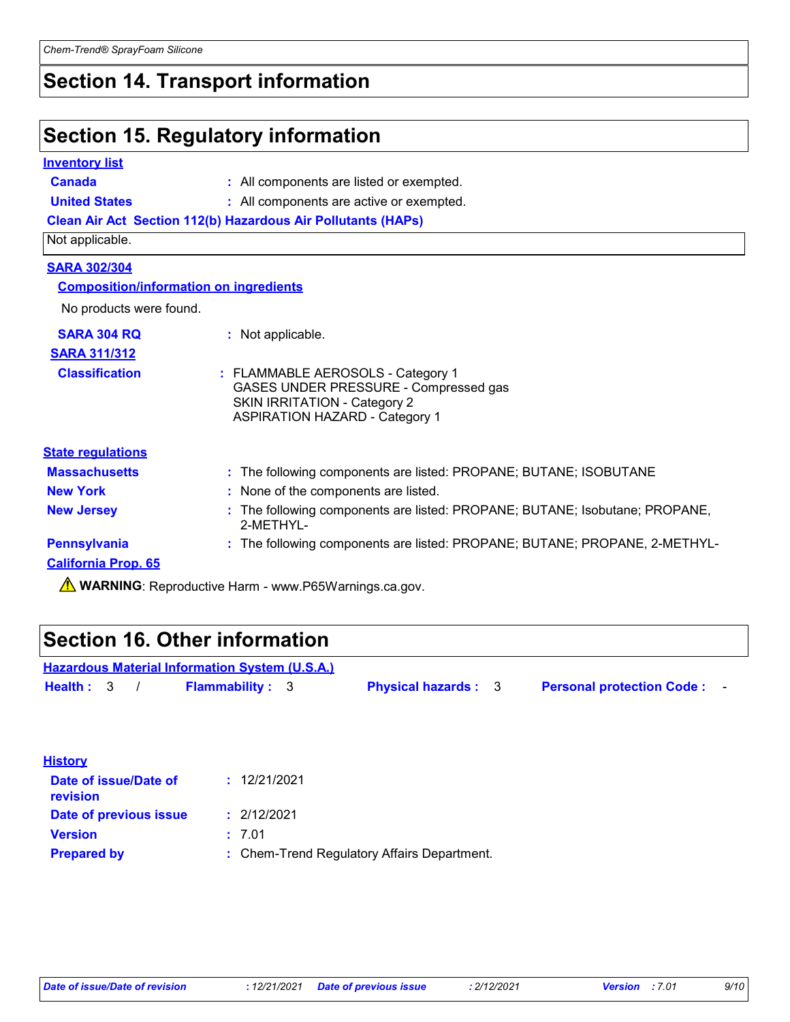# **Section 14. Transport information**

# **Section 15. Regulatory information**

| <b>Inventory list</b>                         |                                                                                                                                                            |
|-----------------------------------------------|------------------------------------------------------------------------------------------------------------------------------------------------------------|
| Canada                                        | : All components are listed or exempted.                                                                                                                   |
| <b>United States</b>                          | : All components are active or exempted.                                                                                                                   |
|                                               | <b>Clean Air Act Section 112(b) Hazardous Air Pollutants (HAPs)</b>                                                                                        |
| Not applicable.                               |                                                                                                                                                            |
| <b>SARA 302/304</b>                           |                                                                                                                                                            |
| <b>Composition/information on ingredients</b> |                                                                                                                                                            |
| No products were found.                       |                                                                                                                                                            |
| <b>SARA 304 RQ</b>                            | : Not applicable.                                                                                                                                          |
| <b>SARA 311/312</b>                           |                                                                                                                                                            |
| <b>Classification</b>                         | : FLAMMABLE AEROSOLS - Category 1<br>GASES UNDER PRESSURE - Compressed gas<br><b>SKIN IRRITATION - Category 2</b><br><b>ASPIRATION HAZARD - Category 1</b> |
| <b>State regulations</b>                      |                                                                                                                                                            |
| <b>Massachusetts</b>                          | : The following components are listed: PROPANE; BUTANE; ISOBUTANE                                                                                          |
| <b>New York</b>                               | : None of the components are listed.                                                                                                                       |
| <b>New Jersey</b>                             | : The following components are listed: PROPANE; BUTANE; Isobutane; PROPANE,<br>2-MFTHYI-                                                                   |
| <b>Pennsylvania</b>                           | : The following components are listed: PROPANE; BUTANE; PROPANE, 2-METHYL-                                                                                 |
| <b>California Prop. 65</b>                    |                                                                                                                                                            |

**A** WARNING: Reproductive Harm - www.P65Warnings.ca.gov.

# **Section 16. Other information**

| <b>Hazardous Material Information System (U.S.A.)</b> |  |  |                        |  |                            |  |                                  |  |  |
|-------------------------------------------------------|--|--|------------------------|--|----------------------------|--|----------------------------------|--|--|
| Health: 3                                             |  |  | <b>Flammability: 3</b> |  | <b>Physical hazards: 3</b> |  | <b>Personal protection Code:</b> |  |  |

| <b>History</b>                    |                                             |
|-----------------------------------|---------------------------------------------|
| Date of issue/Date of<br>revision | : 12/21/2021                                |
| Date of previous issue            | : 2/12/2021                                 |
| <b>Version</b>                    | : 7.01                                      |
| <b>Prepared by</b>                | : Chem-Trend Regulatory Affairs Department. |